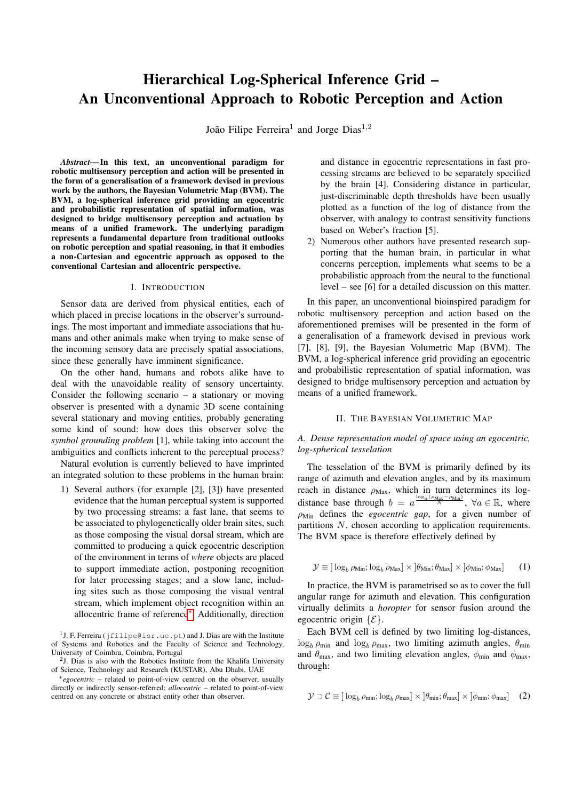# Hierarchical Log-Spherical Inference Grid – An Unconventional Approach to Robotic Perception and Action

João Filipe Ferreira<sup>1</sup> and Jorge Dias<sup>1,2</sup>

*Abstract*— In this text, an unconventional paradigm for robotic multisensory perception and action will be presented in the form of a generalisation of a framework devised in previous work by the authors, the Bayesian Volumetric Map (BVM). The BVM, a log-spherical inference grid providing an egocentric and probabilistic representation of spatial information, was designed to bridge multisensory perception and actuation by means of a unified framework. The underlying paradigm represents a fundamental departure from traditional outlooks on robotic perception and spatial reasoning, in that it embodies a non-Cartesian and egocentric approach as opposed to the conventional Cartesian and allocentric perspective.

## I. INTRODUCTION

Sensor data are derived from physical entities, each of which placed in precise locations in the observer's surroundings. The most important and immediate associations that humans and other animals make when trying to make sense of the incoming sensory data are precisely spatial associations, since these generally have imminent significance.

On the other hand, humans and robots alike have to deal with the unavoidable reality of sensory uncertainty. Consider the following scenario – a stationary or moving observer is presented with a dynamic 3D scene containing several stationary and moving entities, probably generating some kind of sound: how does this observer solve the *symbol grounding problem* [1], while taking into account the ambiguities and conflicts inherent to the perceptual process?

Natural evolution is currently believed to have imprinted an integrated solution to these problems in the human brain:

1) Several authors (for example [2], [3]) have presented evidence that the human perceptual system is supported by two processing streams: a fast lane, that seems to be associated to phylogenetically older brain sites, such as those composing the visual dorsal stream, which are committed to producing a quick egocentric description of the environment in terms of *where* objects are placed to support immediate action, postponing recognition for later processing stages; and a slow lane, including sites such as those composing the visual ventral stream, which implement object recognition within an allocentric frame of reference[∗](#page-0-0) . Additionally, direction

<sup>1</sup> J. F. Ferreira (jfilipe@isr.uc.pt) and J. Dias are with the Institute of Systems and Robotics and the Faculty of Science and Technology, University of Coimbra, Coimbra, Portugal

 $2$ J. Dias is also with the Robotics Institute from the Khalifa University of Science, Technology and Research (KUSTAR), Abu Dhabi, UAE

<span id="page-0-0"></span><sup>∗</sup>*egocentric* – related to point-of-view centred on the observer, usually directly or indirectly sensor-referred; *allocentric* – related to point-of-view centred on any concrete or abstract entity other than observer.

and distance in egocentric representations in fast processing streams are believed to be separately specified by the brain [4]. Considering distance in particular, just-discriminable depth thresholds have been usually plotted as a function of the log of distance from the observer, with analogy to contrast sensitivity functions based on Weber's fraction [5].

2) Numerous other authors have presented research supporting that the human brain, in particular in what concerns perception, implements what seems to be a probabilistic approach from the neural to the functional level – see [6] for a detailed discussion on this matter.

In this paper, an unconventional bioinspired paradigm for robotic multisensory perception and action based on the aforementioned premises will be presented in the form of a generalisation of a framework devised in previous work [7], [8], [9], the Bayesian Volumetric Map (BVM). The BVM, a log-spherical inference grid providing an egocentric and probabilistic representation of spatial information, was designed to bridge multisensory perception and actuation by means of a unified framework.

#### II. THE BAYESIAN VOLUMETRIC MAP

# *A. Dense representation model of space using an egocentric, log-spherical tesselation*

The tesselation of the BVM is primarily defined by its range of azimuth and elevation angles, and by its maximum reach in distance  $\rho_{\text{Max}}$ , which in turn determines its logdistance base through  $b = a^{\frac{\log_a(\rho_{\text{Max}} - \rho_{\text{Min}})}{N}}$ ,  $\forall a \in \mathbb{R}$ , where  $\rho_{\text{Min}}$  defines the *egocentric gap*, for a given number of partitions N, chosen according to application requirements. The BVM space is therefore effectively defined by

$$
\mathcal{Y} \equiv \left[ \log_b \rho_{\text{Min}}; \log_b \rho_{\text{Max}} \right] \times \left[ \theta_{\text{Min}}; \theta_{\text{Max}} \right] \times \left[ \phi_{\text{Min}}; \phi_{\text{Max}} \right] \tag{1}
$$

In practice, the BVM is parametrised so as to cover the full angular range for azimuth and elevation. This configuration virtually delimits a *horopter* for sensor fusion around the egocentric origin  $\{\mathcal{E}\}.$ 

Each BVM cell is defined by two limiting log-distances,  $\log_b \rho_{\text{min}}$  and  $\log_b \rho_{\text{max}}$ , two limiting azimuth angles,  $\theta_{\text{min}}$ and  $\theta_{\text{max}}$ , and two limiting elevation angles,  $\phi_{\text{min}}$  and  $\phi_{\text{max}}$ , through:

$$
\mathcal{Y} \supset \mathcal{C} \equiv \left[ \log_b \rho_{\min}; \log_b \rho_{\max} \right] \times \left[ \theta_{\min}; \theta_{\max} \right] \times \left[ \phi_{\min}; \phi_{\max} \right] \quad (2)
$$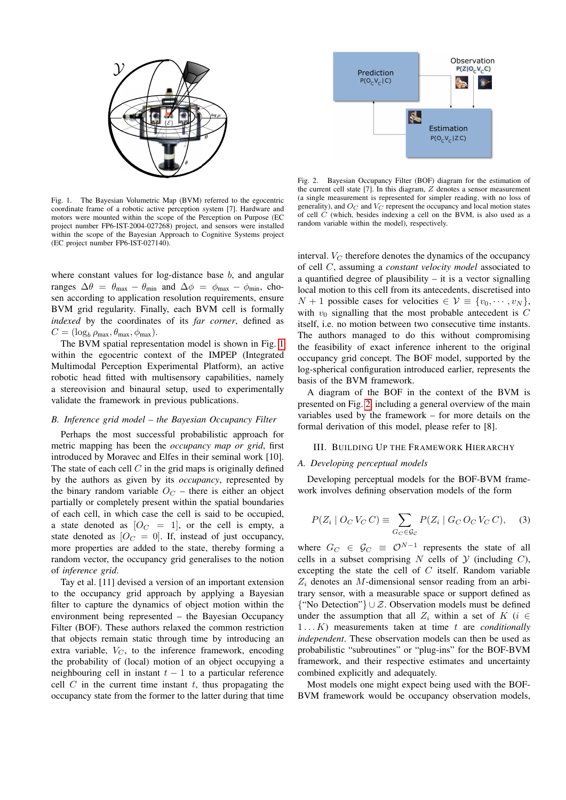

<span id="page-1-0"></span>Fig. 1. The Bayesian Volumetric Map (BVM) referred to the egocentric coordinate frame of a robotic active perception system [7]. Hardware and motors were mounted within the scope of the Perception on Purpose (EC project number FP6-IST-2004-027268) project, and sensors were installed within the scope of the Bayesian Approach to Cognitive Systems project (EC project number FP6-IST-027140).

where constant values for log-distance base  $b$ , and angular ranges  $\Delta\theta = \theta_{\text{max}} - \theta_{\text{min}}$  and  $\Delta\phi = \phi_{\text{max}} - \phi_{\text{min}}$ , chosen according to application resolution requirements, ensure BVM grid regularity. Finally, each BVM cell is formally *indexed* by the coordinates of its *far corner*, defined as  $C = (\log_b \rho_{\text{max}}, \theta_{\text{max}}, \phi_{\text{max}}).$ 

The BVM spatial representation model is shown in Fig. [1](#page-1-0) within the egocentric context of the IMPEP (Integrated Multimodal Perception Experimental Platform), an active robotic head fitted with multisensory capabilities, namely a stereovision and binaural setup, used to experimentally validate the framework in previous publications.

## *B. Inference grid model – the Bayesian Occupancy Filter*

Perhaps the most successful probabilistic approach for metric mapping has been the *occupancy map or grid*, first introduced by Moravec and Elfes in their seminal work [10]. The state of each cell  $C$  in the grid maps is originally defined by the authors as given by its *occupancy*, represented by the binary random variable  $O<sub>C</sub>$  – there is either an object partially or completely present within the spatial boundaries of each cell, in which case the cell is said to be occupied, a state denoted as  $[O_C = 1]$ , or the cell is empty, a state denoted as  $[O_C = 0]$ . If, instead of just occupancy, more properties are added to the state, thereby forming a random vector, the occupancy grid generalises to the notion of *inference grid*.

Tay et al. [11] devised a version of an important extension to the occupancy grid approach by applying a Bayesian filter to capture the dynamics of object motion within the environment being represented – the Bayesian Occupancy Filter (BOF). These authors relaxed the common restriction that objects remain static through time by introducing an extra variable,  $V_C$ , to the inference framework, encoding the probability of (local) motion of an object occupying a neighbouring cell in instant  $t - 1$  to a particular reference cell  $C$  in the current time instant  $t$ , thus propagating the occupancy state from the former to the latter during that time



<span id="page-1-1"></span>Fig. 2. Bayesian Occupancy Filter (BOF) diagram for the estimation of the current cell state [7]. In this diagram, Z denotes a sensor measurement (a single measurement is represented for simpler reading, with no loss of generality), and  $O_C$  and  $V_C$  represent the occupancy and local motion states of cell  $C$  (which, besides indexing a cell on the BVM, is also used as a random variable within the model), respectively.

interval.  $V_C$  therefore denotes the dynamics of the occupancy of cell C, assuming a *constant velocity model* associated to a quantified degree of plausibility – it is a vector signalling local motion to this cell from its antecedents, discretised into  $N + 1$  possible cases for velocities  $\in \mathcal{V} \equiv \{v_0, \dots, v_N\},\$ with  $v_0$  signalling that the most probable antecedent is  $C$ itself, i.e. no motion between two consecutive time instants. The authors managed to do this without compromising the feasibility of exact inference inherent to the original occupancy grid concept. The BOF model, supported by the log-spherical configuration introduced earlier, represents the basis of the BVM framework.

A diagram of the BOF in the context of the BVM is presented on Fig. [2,](#page-1-1) including a general overview of the main variables used by the framework – for more details on the formal derivation of this model, please refer to [8].

#### III. BUILDING UP THE FRAMEWORK HIERARCHY

#### *A. Developing perceptual models*

Developing perceptual models for the BOF-BVM framework involves defining observation models of the form

$$
P(Z_i \mid O_C V_C C) \equiv \sum_{G_C \in \mathcal{G}_C} P(Z_i \mid G_C O_C V_C C), \quad (3)
$$

where  $G_C \in \mathcal{G}_C \equiv \mathcal{O}^{N-1}$  represents the state of all cells in a subset comprising  $N$  cells of  $Y$  (including  $C$ ), excepting the state the cell of  $C$  itself. Random variable  $Z_i$  denotes an M-dimensional sensor reading from an arbitrary sensor, with a measurable space or support defined as {"No Detection"} ∪ Z. Observation models must be defined under the assumption that all  $Z_i$  within a set of  $K$  (i  $\in$ 1 . . . K) measurements taken at time t are *conditionally independent*. These observation models can then be used as probabilistic "subroutines" or "plug-ins" for the BOF-BVM framework, and their respective estimates and uncertainty combined explicitly and adequately.

Most models one might expect being used with the BOF-BVM framework would be occupancy observation models,